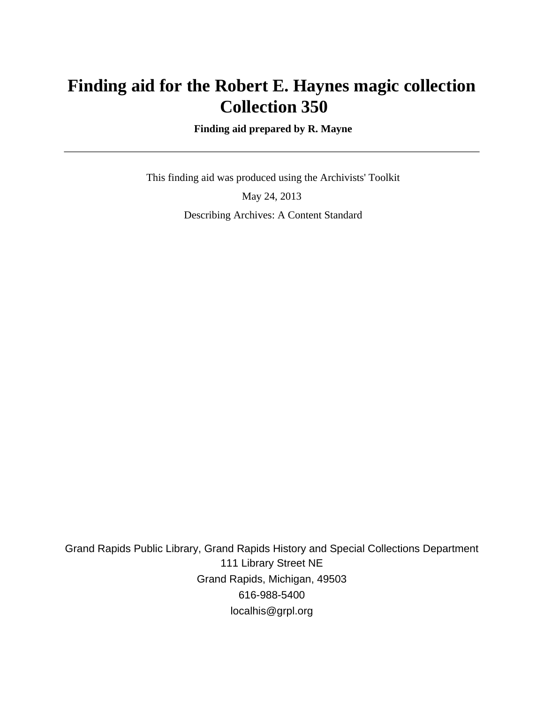# **Finding aid for the Robert E. Haynes magic collection Collection 350**

 **Finding aid prepared by R. Mayne**

 This finding aid was produced using the Archivists' Toolkit May 24, 2013 Describing Archives: A Content Standard

Grand Rapids Public Library, Grand Rapids History and Special Collections Department 111 Library Street NE Grand Rapids, Michigan, 49503 616-988-5400 localhis@grpl.org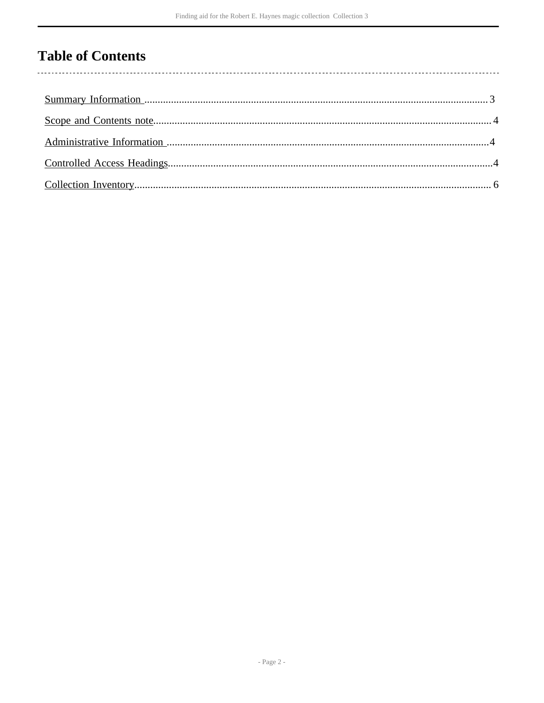## **Table of Contents**

 $\overline{\phantom{a}}$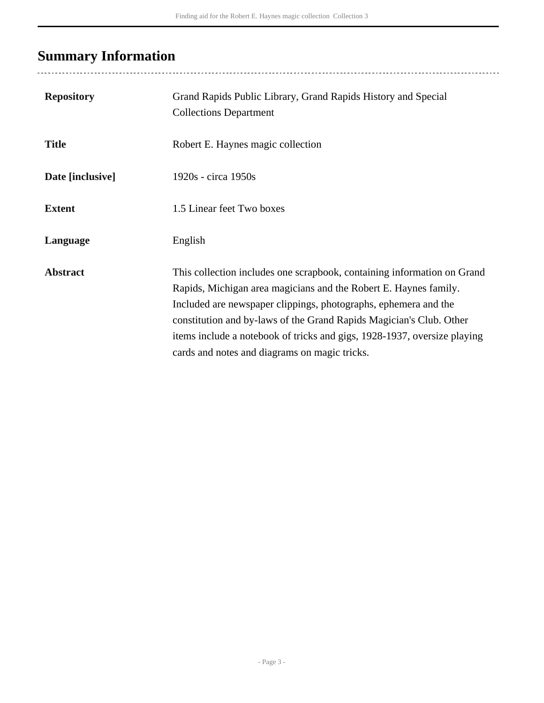# <span id="page-2-0"></span>**Summary Information**

| <b>Repository</b> | Grand Rapids Public Library, Grand Rapids History and Special<br><b>Collections Department</b>                                                                                                                                                                                                                                                                                                                     |
|-------------------|--------------------------------------------------------------------------------------------------------------------------------------------------------------------------------------------------------------------------------------------------------------------------------------------------------------------------------------------------------------------------------------------------------------------|
| <b>Title</b>      | Robert E. Haynes magic collection                                                                                                                                                                                                                                                                                                                                                                                  |
| Date [inclusive]  | 1920s - circa 1950s                                                                                                                                                                                                                                                                                                                                                                                                |
| <b>Extent</b>     | 1.5 Linear feet Two boxes                                                                                                                                                                                                                                                                                                                                                                                          |
| Language          | English                                                                                                                                                                                                                                                                                                                                                                                                            |
| <b>Abstract</b>   | This collection includes one scrapbook, containing information on Grand<br>Rapids, Michigan area magicians and the Robert E. Haynes family.<br>Included are newspaper clippings, photographs, ephemera and the<br>constitution and by-laws of the Grand Rapids Magician's Club. Other<br>items include a notebook of tricks and gigs, 1928-1937, oversize playing<br>cards and notes and diagrams on magic tricks. |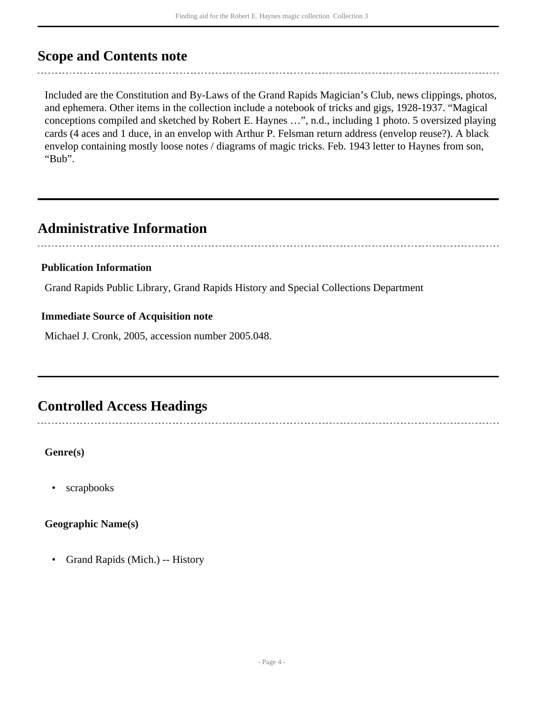## <span id="page-3-0"></span>**Scope and Contents note**

Included are the Constitution and By-Laws of the Grand Rapids Magician's Club, news clippings, photos, and ephemera. Other items in the collection include a notebook of tricks and gigs, 1928-1937. "Magical conceptions compiled and sketched by Robert E. Haynes …", n.d., including 1 photo. 5 oversized playing cards (4 aces and 1 duce, in an envelop with Arthur P. Felsman return address (envelop reuse?). A black envelop containing mostly loose notes / diagrams of magic tricks. Feb. 1943 letter to Haynes from son, "Bub".

## <span id="page-3-1"></span>**Administrative Information**

### **Publication Information**

Grand Rapids Public Library, Grand Rapids History and Special Collections Department

#### **Immediate Source of Acquisition note**

Michael J. Cronk, 2005, accession number 2005.048.

## <span id="page-3-2"></span>**Controlled Access Headings**

**Genre(s)**

scrapbooks

**Geographic Name(s)**

• Grand Rapids (Mich.) -- History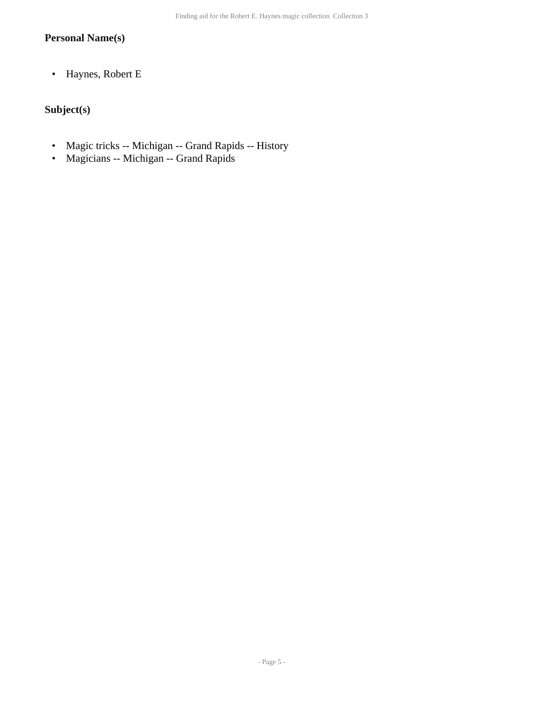### **Personal Name(s)**

• Haynes, Robert E

### **Subject(s)**

- Magic tricks -- Michigan -- Grand Rapids -- History
- Magicians -- Michigan -- Grand Rapids